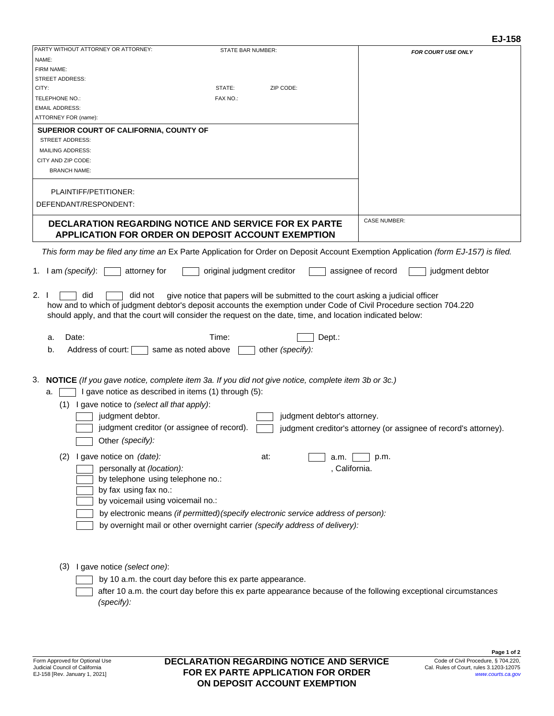| PARTY WITHOUT ATTORNEY OR ATTORNEY:<br>STATE BAR NUMBER:<br><b>FOR COURT USE ONLY</b><br>NAME:<br>FIRM NAME:<br><b>STREET ADDRESS:</b><br>ZIP CODE:<br>CITY:<br>STATE:<br>TELEPHONE NO.:<br>FAX NO.:<br><b>EMAIL ADDRESS:</b><br>ATTORNEY FOR (name):<br>SUPERIOR COURT OF CALIFORNIA, COUNTY OF<br><b>STREET ADDRESS:</b><br><b>MAILING ADDRESS:</b><br>CITY AND ZIP CODE:<br><b>BRANCH NAME:</b><br>PLAINTIFF/PETITIONER:<br>DEFENDANT/RESPONDENT:<br><b>CASE NUMBER:</b><br><b>DECLARATION REGARDING NOTICE AND SERVICE FOR EX PARTE</b><br><b>APPLICATION FOR ORDER ON DEPOSIT ACCOUNT EXEMPTION</b><br>This form may be filed any time an Ex Parte Application for Order on Deposit Account Exemption Application (form EJ-157) is filed.<br>attorney for<br>original judgment creditor<br>assignee of record<br>judgment debtor<br>1. I am (specify):<br>2.1<br>give notice that papers will be submitted to the court asking a judicial officer<br>did not<br>did<br>how and to which of judgment debtor's deposit accounts the exemption under Code of Civil Procedure section 704.220<br>should apply, and that the court will consider the request on the date, time, and location indicated below:<br>Time:<br>Date:<br>Dept.:<br>а.<br>Address of court:<br>same as noted above<br>b.<br>other (specify):<br>I gave notice as described in items (1) through (5):<br>a.<br>$(1)$ I gave notice to <i>(select all that apply)</i> :<br>judgment debtor.<br>judgment debtor's attorney.<br>judgment creditor (or assignee of record).<br>judgment creditor's attorney (or assignee of record's attorney).<br>Other (specify):<br>(2) I gave notice on (date):<br>at:<br>p.m.<br>a.m.<br>personally at (location):<br>, California.<br>by telephone using telephone no.:<br>by fax using fax no.:<br>by voicemail using voicemail no.:<br>by electronic means (if permitted) (specify electronic service address of person):<br>by overnight mail or other overnight carrier (specify address of delivery): |  | EJ-158 |
|----------------------------------------------------------------------------------------------------------------------------------------------------------------------------------------------------------------------------------------------------------------------------------------------------------------------------------------------------------------------------------------------------------------------------------------------------------------------------------------------------------------------------------------------------------------------------------------------------------------------------------------------------------------------------------------------------------------------------------------------------------------------------------------------------------------------------------------------------------------------------------------------------------------------------------------------------------------------------------------------------------------------------------------------------------------------------------------------------------------------------------------------------------------------------------------------------------------------------------------------------------------------------------------------------------------------------------------------------------------------------------------------------------------------------------------------------------------------------------------------------------------------------------------------------------------------------------------------------------------------------------------------------------------------------------------------------------------------------------------------------------------------------------------------------------------------------------------------------------------------------------------------------------------------------------------------------------------------------------------------------------------------|--|--------|
|                                                                                                                                                                                                                                                                                                                                                                                                                                                                                                                                                                                                                                                                                                                                                                                                                                                                                                                                                                                                                                                                                                                                                                                                                                                                                                                                                                                                                                                                                                                                                                                                                                                                                                                                                                                                                                                                                                                                                                                                                      |  |        |
|                                                                                                                                                                                                                                                                                                                                                                                                                                                                                                                                                                                                                                                                                                                                                                                                                                                                                                                                                                                                                                                                                                                                                                                                                                                                                                                                                                                                                                                                                                                                                                                                                                                                                                                                                                                                                                                                                                                                                                                                                      |  |        |
| 3. NOTICE (If you gave notice, complete item 3a. If you did not give notice, complete item 3b or 3c.)                                                                                                                                                                                                                                                                                                                                                                                                                                                                                                                                                                                                                                                                                                                                                                                                                                                                                                                                                                                                                                                                                                                                                                                                                                                                                                                                                                                                                                                                                                                                                                                                                                                                                                                                                                                                                                                                                                                |  |        |
|                                                                                                                                                                                                                                                                                                                                                                                                                                                                                                                                                                                                                                                                                                                                                                                                                                                                                                                                                                                                                                                                                                                                                                                                                                                                                                                                                                                                                                                                                                                                                                                                                                                                                                                                                                                                                                                                                                                                                                                                                      |  |        |
|                                                                                                                                                                                                                                                                                                                                                                                                                                                                                                                                                                                                                                                                                                                                                                                                                                                                                                                                                                                                                                                                                                                                                                                                                                                                                                                                                                                                                                                                                                                                                                                                                                                                                                                                                                                                                                                                                                                                                                                                                      |  |        |
|                                                                                                                                                                                                                                                                                                                                                                                                                                                                                                                                                                                                                                                                                                                                                                                                                                                                                                                                                                                                                                                                                                                                                                                                                                                                                                                                                                                                                                                                                                                                                                                                                                                                                                                                                                                                                                                                                                                                                                                                                      |  |        |
|                                                                                                                                                                                                                                                                                                                                                                                                                                                                                                                                                                                                                                                                                                                                                                                                                                                                                                                                                                                                                                                                                                                                                                                                                                                                                                                                                                                                                                                                                                                                                                                                                                                                                                                                                                                                                                                                                                                                                                                                                      |  |        |
|                                                                                                                                                                                                                                                                                                                                                                                                                                                                                                                                                                                                                                                                                                                                                                                                                                                                                                                                                                                                                                                                                                                                                                                                                                                                                                                                                                                                                                                                                                                                                                                                                                                                                                                                                                                                                                                                                                                                                                                                                      |  |        |
|                                                                                                                                                                                                                                                                                                                                                                                                                                                                                                                                                                                                                                                                                                                                                                                                                                                                                                                                                                                                                                                                                                                                                                                                                                                                                                                                                                                                                                                                                                                                                                                                                                                                                                                                                                                                                                                                                                                                                                                                                      |  |        |
|                                                                                                                                                                                                                                                                                                                                                                                                                                                                                                                                                                                                                                                                                                                                                                                                                                                                                                                                                                                                                                                                                                                                                                                                                                                                                                                                                                                                                                                                                                                                                                                                                                                                                                                                                                                                                                                                                                                                                                                                                      |  |        |
|                                                                                                                                                                                                                                                                                                                                                                                                                                                                                                                                                                                                                                                                                                                                                                                                                                                                                                                                                                                                                                                                                                                                                                                                                                                                                                                                                                                                                                                                                                                                                                                                                                                                                                                                                                                                                                                                                                                                                                                                                      |  |        |
|                                                                                                                                                                                                                                                                                                                                                                                                                                                                                                                                                                                                                                                                                                                                                                                                                                                                                                                                                                                                                                                                                                                                                                                                                                                                                                                                                                                                                                                                                                                                                                                                                                                                                                                                                                                                                                                                                                                                                                                                                      |  |        |
|                                                                                                                                                                                                                                                                                                                                                                                                                                                                                                                                                                                                                                                                                                                                                                                                                                                                                                                                                                                                                                                                                                                                                                                                                                                                                                                                                                                                                                                                                                                                                                                                                                                                                                                                                                                                                                                                                                                                                                                                                      |  |        |
|                                                                                                                                                                                                                                                                                                                                                                                                                                                                                                                                                                                                                                                                                                                                                                                                                                                                                                                                                                                                                                                                                                                                                                                                                                                                                                                                                                                                                                                                                                                                                                                                                                                                                                                                                                                                                                                                                                                                                                                                                      |  |        |
|                                                                                                                                                                                                                                                                                                                                                                                                                                                                                                                                                                                                                                                                                                                                                                                                                                                                                                                                                                                                                                                                                                                                                                                                                                                                                                                                                                                                                                                                                                                                                                                                                                                                                                                                                                                                                                                                                                                                                                                                                      |  |        |
|                                                                                                                                                                                                                                                                                                                                                                                                                                                                                                                                                                                                                                                                                                                                                                                                                                                                                                                                                                                                                                                                                                                                                                                                                                                                                                                                                                                                                                                                                                                                                                                                                                                                                                                                                                                                                                                                                                                                                                                                                      |  |        |
|                                                                                                                                                                                                                                                                                                                                                                                                                                                                                                                                                                                                                                                                                                                                                                                                                                                                                                                                                                                                                                                                                                                                                                                                                                                                                                                                                                                                                                                                                                                                                                                                                                                                                                                                                                                                                                                                                                                                                                                                                      |  |        |
|                                                                                                                                                                                                                                                                                                                                                                                                                                                                                                                                                                                                                                                                                                                                                                                                                                                                                                                                                                                                                                                                                                                                                                                                                                                                                                                                                                                                                                                                                                                                                                                                                                                                                                                                                                                                                                                                                                                                                                                                                      |  |        |
|                                                                                                                                                                                                                                                                                                                                                                                                                                                                                                                                                                                                                                                                                                                                                                                                                                                                                                                                                                                                                                                                                                                                                                                                                                                                                                                                                                                                                                                                                                                                                                                                                                                                                                                                                                                                                                                                                                                                                                                                                      |  |        |
|                                                                                                                                                                                                                                                                                                                                                                                                                                                                                                                                                                                                                                                                                                                                                                                                                                                                                                                                                                                                                                                                                                                                                                                                                                                                                                                                                                                                                                                                                                                                                                                                                                                                                                                                                                                                                                                                                                                                                                                                                      |  |        |
|                                                                                                                                                                                                                                                                                                                                                                                                                                                                                                                                                                                                                                                                                                                                                                                                                                                                                                                                                                                                                                                                                                                                                                                                                                                                                                                                                                                                                                                                                                                                                                                                                                                                                                                                                                                                                                                                                                                                                                                                                      |  |        |
|                                                                                                                                                                                                                                                                                                                                                                                                                                                                                                                                                                                                                                                                                                                                                                                                                                                                                                                                                                                                                                                                                                                                                                                                                                                                                                                                                                                                                                                                                                                                                                                                                                                                                                                                                                                                                                                                                                                                                                                                                      |  |        |
| (3) I gave notice (select one):<br>by 10 a.m. the court day before this ex parte appearance.                                                                                                                                                                                                                                                                                                                                                                                                                                                                                                                                                                                                                                                                                                                                                                                                                                                                                                                                                                                                                                                                                                                                                                                                                                                                                                                                                                                                                                                                                                                                                                                                                                                                                                                                                                                                                                                                                                                         |  |        |

after 10 a.m. the court day before this ex parte appearance because of the following exceptional circumstance*s (specify):*